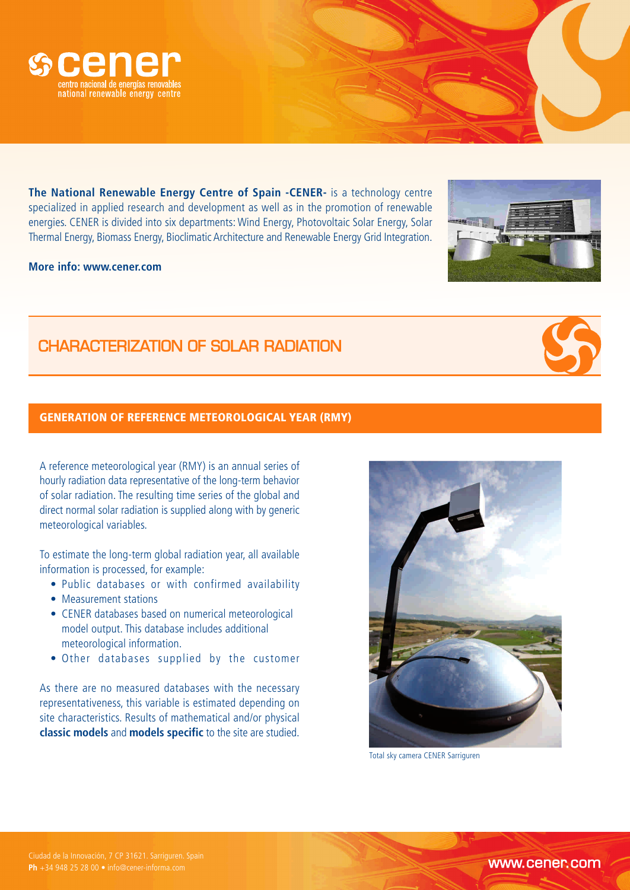



The National Renewable Energy Centre of Spain -CENER- is a technology centre specialized in applied research and development as well as in the promotion of renewable energies. CENER is divided into six departments: Wind Energy, Photovoltaic Solar Energy, Solar Thermal Energy, Biomass Energy, Bioclimatic Architecture and Renewable Energy Grid Integration.

## **More info: www.cener.com**

CHARACTERIZATION OF SOLAR RADIATION

# GENERATION OF REFERENCE METEOROLOGICAL YEAR (RMY)

A reference meteorological year (RMY) is an annual series of hourly radiation data representative of the long-term behavior of solar radiation. The resulting time series of the global and direct normal solar radiation is supplied along with by generic meteorological variables.

To estimate the long-term global radiation year, all available information is processed, for example:

- Public databases or with confirmed availability
- Measurement stations
- CENER databases based on numerical meteorological model output. This database includes additional meteorological information.
- Other databases supplied by the customer

As there are no measured databases with the necessary representativeness, this variable is estimated depending on site characteristics. Results of mathematical and/or physical **classic models** and **models specific** to the site are studied.

Total sky camera CENER Sarriguren